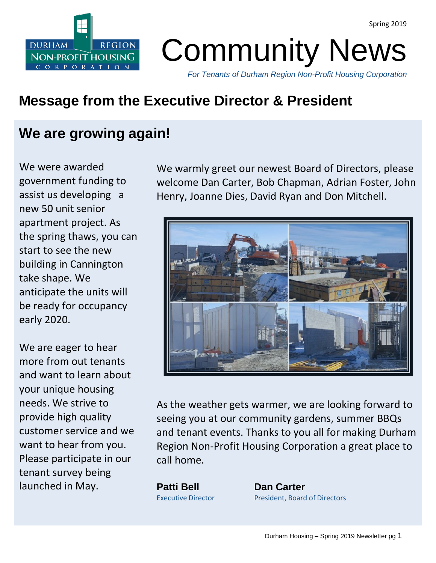

Community News

*For Tenants of Durham Region Non-Profit Housing Corporation*

### **Message from the Executive Director & President**

### **We are growing again!**

We were awarded government funding to assist us developing a new 50 unit senior apartment project. As the spring thaws, you can start to see the new building in Cannington take shape. We anticipate the units will be ready for occupancy early 2020.

We are eager to hear more from out tenants and want to learn about your unique housing needs. We strive to provide high quality customer service and we want to hear from you. Please participate in our tenant survey being launched in May.

We warmly greet our newest Board of Directors, please welcome Dan Carter, Bob Chapman, Adrian Foster, John Henry, Joanne Dies, David Ryan and Don Mitchell.



As the weather gets warmer, we are looking forward to seeing you at our community gardens, summer BBQs and tenant events. Thanks to you all for making Durham Region Non-Profit Housing Corporation a great place to call home.

**Patti Bell Dan Carter**

Executive Director **President, Board of Directors**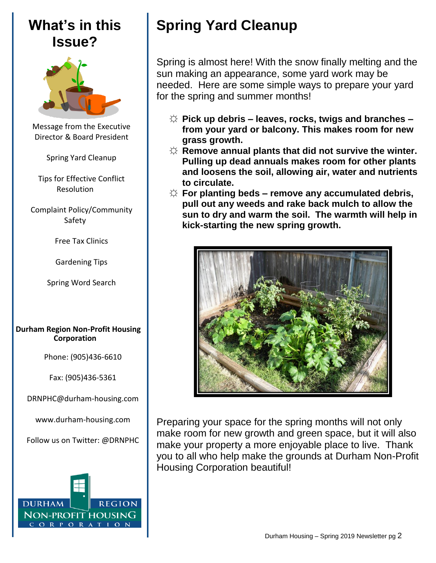### **What's in this Issue?**



Message from the Executive Director & Board President

Spring Yard Cleanup

Tips for Effective Conflict Resolution

Complaint Policy/Community Safety

Free Tax Clinics

Gardening Tips

Spring Word Search

#### **Durham Region Non-Profit Housing Corporation**

Phone: (905)436-6610

Fax: (905)436-5361

[DRNPHC@durham-housing.com](mailto:DRNPHC@durham-housing.com)

[www.durham-housing.com](http://www.durham-housing.com/)

Follow us on Twitter: @DRNPHC



# **Spring Yard Cleanup**

Spring is almost here! With the snow finally melting and the sun making an appearance, some yard work may be needed. Here are some simple ways to prepare your yard for the spring and summer months!

- ☼ **Pick up debris – leaves, rocks, twigs and branches – from your yard or balcony. This makes room for new grass growth.**
- ☼ **Remove annual plants that did not survive the winter. Pulling up dead annuals makes room for other plants and loosens the soil, allowing air, water and nutrients to circulate.**
- ☼ **For planting beds – remove any accumulated debris, pull out any weeds and rake back mulch to allow the sun to dry and warm the soil. The warmth will help in kick-starting the new spring growth.**



Preparing your space for the spring months will not only make room for new growth and green space, but it will also make your property a more enjoyable place to live. Thank you to all who help make the grounds at Durham Non-Profit Housing Corporation beautiful!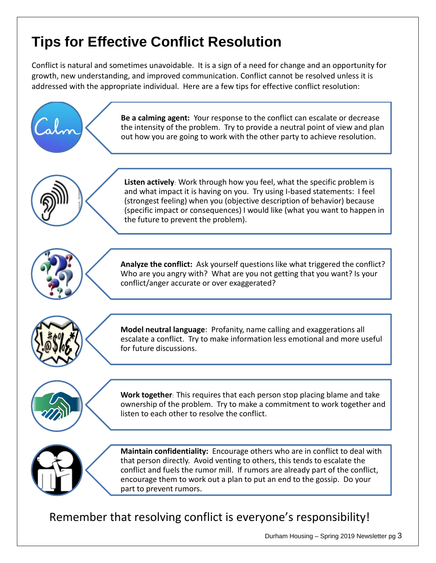## **Tips for Effective Conflict Resolution**

Conflict is natural and sometimes unavoidable. It is a sign of a need for change and an opportunity for growth, new understanding, and improved communication. Conflict cannot be resolved unless it is addressed with the appropriate individual. Here are a few tips for effective conflict resolution:



Remember that resolving conflict is everyone's responsibility!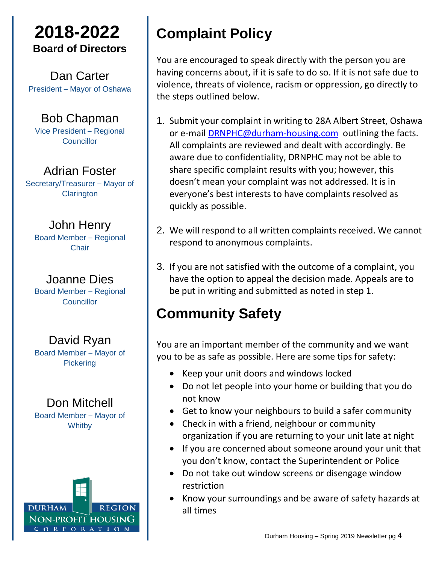### **2018-2022 Board of Directors**

Dan Carter President – Mayor of Oshawa

Bob Chapman Vice President – Regional Councillor

Adrian Foster Secretary/Treasurer – Mayor of **Clarington** 

John Henry Board Member – Regional **Chair** 

Joanne Dies Board Member – Regional **Councillor** 

David Ryan Board Member – Mayor of **Pickering** 

Don Mitchell Board Member – Mayor of **Whitby** 



# **Complaint Policy**

You are encouraged to speak directly with the person you are having concerns about, if it is safe to do so. If it is not safe due to violence, threats of violence, racism or oppression, go directly to the steps outlined below.

- 1. Submit your complaint in writing to 28A Albert Street, Oshawa or e-mail [DRNPHC@durham-housing.com](mailto:DRNPHC@durham-housing.com) outlining the facts. All complaints are reviewed and dealt with accordingly. Be aware due to confidentiality, DRNPHC may not be able to share specific complaint results with you; however, this doesn't mean your complaint was not addressed. It is in everyone's best interests to have complaints resolved as quickly as possible.
- 2. We will respond to all written complaints received. We cannot respond to anonymous complaints.
- 3. If you are not satisfied with the outcome of a complaint, you have the option to appeal the decision made. Appeals are to be put in writing and submitted as noted in step 1.

# **Community Safety**

You are an important member of the community and we want you to be as safe as possible. Here are some tips for safety:

- Keep your unit doors and windows locked
- Do not let people into your home or building that you do not know
- Get to know your neighbours to build a safer community
- Check in with a friend, neighbour or community organization if you are returning to your unit late at night
- If you are concerned about someone around your unit that you don't know, contact the Superintendent or Police
- Do not take out window screens or disengage window restriction
- Know your surroundings and be aware of safety hazards at all times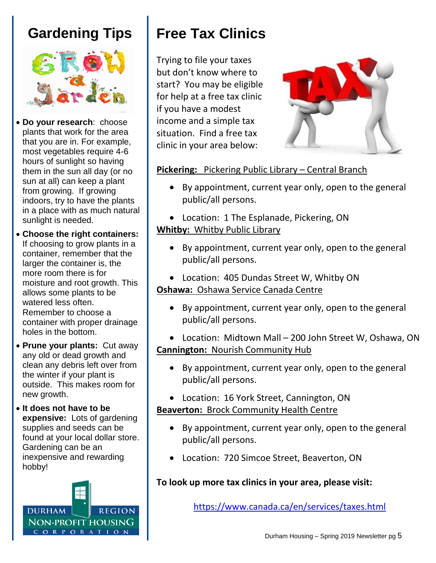### **Gardening Tips**



 **Do your research**: choose plants that work for the area that you are in. For example, most vegetables require 4-6 hours of sunlight so having them in the sun all day (or no sun at all) can keep a plant from growing. If growing indoors, try to have the plants in a place with as much natural sunlight is needed.

 **Choose the right containers:**  If choosing to grow plants in a container, remember that the larger the container is, the more room there is for moisture and root growth. This allows some plants to be watered less often. Remember to choose a container with proper drainage holes in the bottom.

- **Prune your plants:** Cut away any old or dead growth and clean any debris left over from the winter if your plant is outside. This makes room for new growth.
- **It does not have to be expensive:** Lots of gardening supplies and seeds can be found at your local dollar store. Gardening can be an inexpensive and rewarding hobby!



# **Free Tax Clinics**

Trying to file your taxes but don't know where to start? You may be eligible for help at a free tax clinic if you have a modest income and a simple tax situation. Find a free tax clinic in your area below:



#### **Pickering:** Pickering Public Library – Central Branch

- By appointment, current year only, open to the general public/all persons.
- Location: 1 The Esplanade, Pickering, ON

#### **Whitby:** Whitby Public Library

- By appointment, current year only, open to the general public/all persons.
- Location: 405 Dundas Street W, Whitby ON

#### **Oshawa:** Oshawa Service Canada Centre

- By appointment, current year only, open to the general public/all persons.
- Location: Midtown Mall 200 John Street W, Oshawa, ON **Cannington:** Nourish Community Hub
	- By appointment, current year only, open to the general public/all persons.
	- Location: 16 York Street, Cannington, ON

#### **Beaverton:** Brock Community Health Centre

- By appointment, current year only, open to the general public/all persons.
- Location: 720 Simcoe Street, Beaverton, ON

#### **To look up more tax clinics in your area, please visit:**

<https://www.canada.ca/en/services/taxes.html>